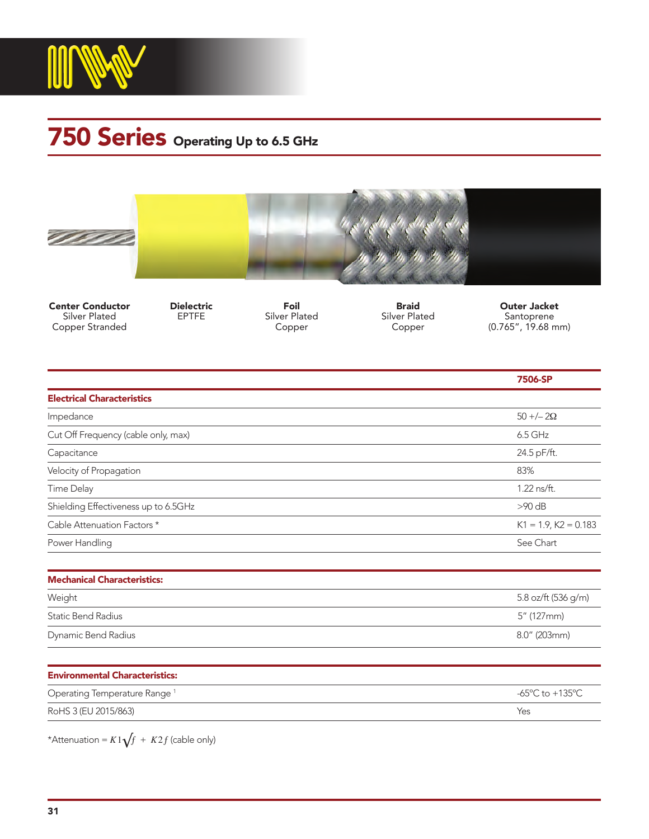

## 750 Series Operating Up to 6.5 GHz





Center Conductor Silver Plated Copper Stranded

Dielectric EPTFE

Foil Silver Plated Copper

Braid Silver Plated Copper

Outer Jacket Santoprene (0.765", 19.68 mm)

|                                          | 7506-SP                                               |
|------------------------------------------|-------------------------------------------------------|
| <b>Electrical Characteristics</b>        |                                                       |
| Impedance                                | $50 + (-20)$                                          |
| Cut Off Frequency (cable only, max)      | 6.5 GHz                                               |
| Capacitance                              | 24.5 pF/ft.                                           |
| Velocity of Propagation                  | 83%                                                   |
| Time Delay                               | 1.22 ns/ft.                                           |
| Shielding Effectiveness up to 6.5GHz     | $>90$ dB                                              |
| Cable Attenuation Factors *              | $K1 = 1.9$ , $K2 = 0.183$                             |
| Power Handling                           | See Chart                                             |
| <b>Mechanical Characteristics:</b>       |                                                       |
| Weight                                   | 5.8 oz/ft (536 g/m)                                   |
| <b>Static Bend Radius</b>                | 5" (127mm)                                            |
| Dynamic Bend Radius                      | 8.0" (203mm)                                          |
| <b>Environmental Characteristics:</b>    |                                                       |
| Operating Temperature Range <sup>1</sup> | -65 $\mathrm{^{\circ}C}$ to +135 $\mathrm{^{\circ}C}$ |
| RoHS 3 (EU 2015/863)                     | Yes                                                   |

\*Attenuation =  $K1\sqrt{f}$  +  $K2f$  (cable only)